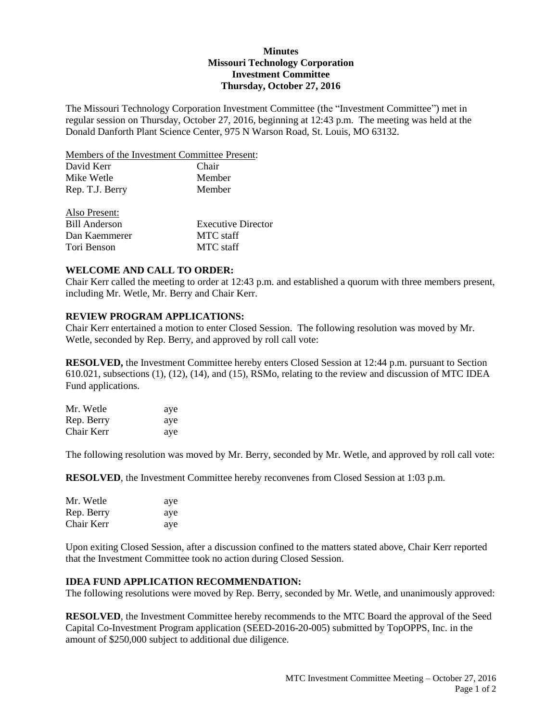### **Minutes Missouri Technology Corporation Investment Committee Thursday, October 27, 2016**

The Missouri Technology Corporation Investment Committee (the "Investment Committee") met in regular session on Thursday, October 27, 2016, beginning at 12:43 p.m. The meeting was held at the Donald Danforth Plant Science Center, 975 N Warson Road, St. Louis, MO 63132.

Members of the Investment Committee Present:

| David Kerr      | Chair  |
|-----------------|--------|
| Mike Wetle      | Member |
| Rep. T.J. Berry | Member |
| Also Present:   |        |

| AISU I IUSUIII. |                           |
|-----------------|---------------------------|
| Bill Anderson   | <b>Executive Director</b> |
| Dan Kaemmerer   | MTC staff                 |
| Tori Benson     | MTC staff                 |

### **WELCOME AND CALL TO ORDER:**

Chair Kerr called the meeting to order at 12:43 p.m. and established a quorum with three members present, including Mr. Wetle, Mr. Berry and Chair Kerr.

## **REVIEW PROGRAM APPLICATIONS:**

Chair Kerr entertained a motion to enter Closed Session. The following resolution was moved by Mr. Wetle, seconded by Rep. Berry, and approved by roll call vote:

**RESOLVED,** the Investment Committee hereby enters Closed Session at 12:44 p.m. pursuant to Section 610.021, subsections (1), (12), (14), and (15), RSMo, relating to the review and discussion of MTC IDEA Fund applications.

| Mr. Wetle  | aye |
|------------|-----|
| Rep. Berry | aye |
| Chair Kerr | aye |

The following resolution was moved by Mr. Berry, seconded by Mr. Wetle, and approved by roll call vote:

**RESOLVED**, the Investment Committee hereby reconvenes from Closed Session at 1:03 p.m.

| Mr. Wetle  | aye |
|------------|-----|
| Rep. Berry | aye |
| Chair Kerr | aye |

Upon exiting Closed Session, after a discussion confined to the matters stated above, Chair Kerr reported that the Investment Committee took no action during Closed Session.

### **IDEA FUND APPLICATION RECOMMENDATION:**

The following resolutions were moved by Rep. Berry, seconded by Mr. Wetle, and unanimously approved:

**RESOLVED**, the Investment Committee hereby recommends to the MTC Board the approval of the Seed Capital Co-Investment Program application (SEED-2016-20-005) submitted by TopOPPS, Inc. in the amount of \$250,000 subject to additional due diligence.